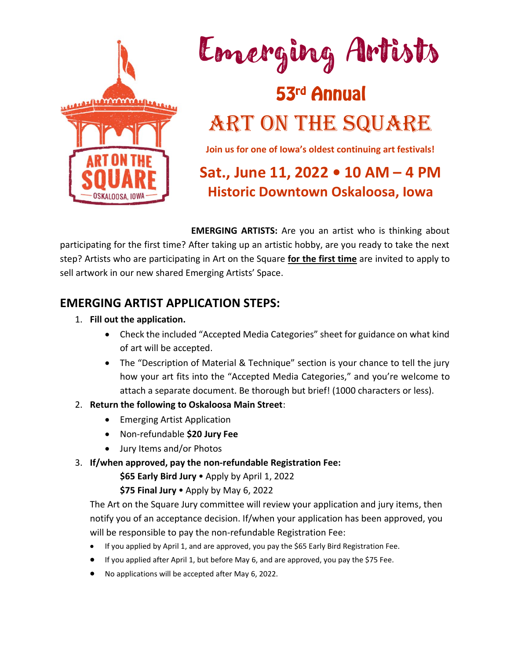



### 53rd Annual ART ON THE SQUARE

**Join us for one of Iowa's oldest continuing art festivals!** 

### **Sat., June 11, 2022 • 10 AM – 4 PM Historic Downtown Oskaloosa, Iowa**

**EMERGING ARTISTS:** Are you an artist who is thinking about participating for the first time? After taking up an artistic hobby, are you ready to take the next step? Artists who are participating in Art on the Square **for the first time** are invited to apply to sell artwork in our new shared Emerging Artists' Space.

#### **EMERGING ARTIST APPLICATION STEPS:**

- 1. **Fill out the application.**
	- Check the included "Accepted Media Categories" sheet for guidance on what kind of art will be accepted.
	- The "Description of Material & Technique" section is your chance to tell the jury how your art fits into the "Accepted Media Categories," and you're welcome to attach a separate document. Be thorough but brief! (1000 characters or less).
- 2. **Return the following to Oskaloosa Main Street**:
	- Emerging Artist Application
	- Non-refundable **\$20 Jury Fee**
	- Jury Items and/or Photos
- 3. **If/when approved, pay the non-refundable Registration Fee:**

**\$65 Early Bird Jury**  Apply by April 1, 2022

**\$75 Final Jury**  Apply by May 6, 2022

The Art on the Square Jury committee will review your application and jury items, then notify you of an acceptance decision. If/when your application has been approved, you will be responsible to pay the non-refundable Registration Fee:

- If you applied by April 1, and are approved, you pay the \$65 Early Bird Registration Fee.
- If you applied after April 1, but before May 6, and are approved, you pay the \$75 Fee.
- No applications will be accepted after May 6, 2022.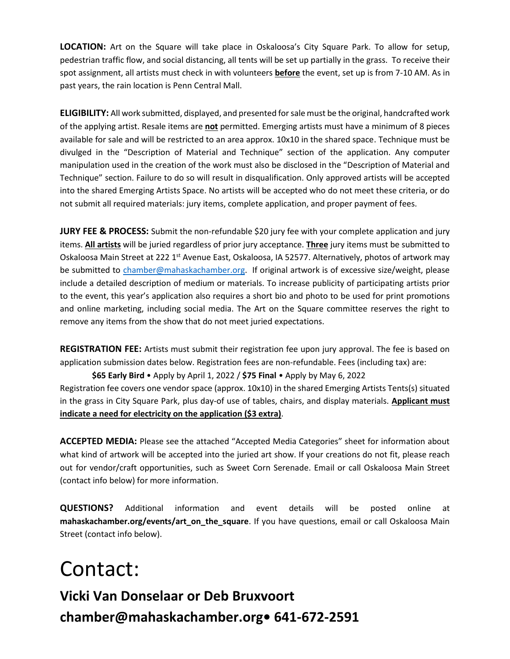**LOCATION:** Art on the Square will take place in Oskaloosa's City Square Park. To allow for setup, pedestrian traffic flow, and social distancing, all tents will be set up partially in the grass. To receive their spot assignment, all artists must check in with volunteers **before** the event, set up is from 7-10 AM. As in past years, the rain location is Penn Central Mall.

**ELIGIBILITY:** All work submitted, displayed, and presented for sale must be the original, handcrafted work of the applying artist. Resale items are **not** permitted. Emerging artists must have a minimum of 8 pieces available for sale and will be restricted to an area approx. 10x10 in the shared space. Technique must be divulged in the "Description of Material and Technique" section of the application. Any computer manipulation used in the creation of the work must also be disclosed in the "Description of Material and Technique" section. Failure to do so will result in disqualification. Only approved artists will be accepted into the shared Emerging Artists Space. No artists will be accepted who do not meet these criteria, or do not submit all required materials: jury items, complete application, and proper payment of fees.

**JURY FEE & PROCESS:** Submit the non-refundable \$20 jury fee with your complete application and jury items. **All artists** will be juried regardless of prior jury acceptance. **Three** jury items must be submitted to Oskaloosa Main Street at 222 1<sup>st</sup> Avenue East, Oskaloosa, IA 52577. Alternatively, photos of artwork may be submitted to [chamber@mahaskachamber.org.](mailto:chamber@mahaskachamber.org) If original artwork is of excessive size/weight, please include a detailed description of medium or materials. To increase publicity of participating artists prior to the event, this year's application also requires a short bio and photo to be used for print promotions and online marketing, including social media. The Art on the Square committee reserves the right to remove any items from the show that do not meet juried expectations.

**REGISTRATION FEE:** Artists must submit their registration fee upon jury approval. The fee is based on application submission dates below. Registration fees are non-refundable. Fees (including tax) are:

**\$65 Early Bird** • Apply by April 1, 2022 / **\$75 Final** • Apply by May 6, 2022 Registration fee covers one vendor space (approx. 10x10) in the shared Emerging Artists Tents(s) situated in the grass in City Square Park, plus day-of use of tables, chairs, and display materials. **Applicant must indicate a need for electricity on the application (\$3 extra)**.

**ACCEPTED MEDIA:** Please see the attached "Accepted Media Categories" sheet for information about what kind of artwork will be accepted into the juried art show. If your creations do not fit, please reach out for vendor/craft opportunities, such as Sweet Corn Serenade. Email or call Oskaloosa Main Street (contact info below) for more information.

**QUESTIONS?** Additional information and event details will be posted online at **mahaskachamber.org/events/art\_on\_the\_square**. If you have questions, email or call Oskaloosa Main Street (contact info below).

### Contact:

**Vicki Van Donselaar or Deb Bruxvoort chamber@mahaskachamber.org• 641-672-2591**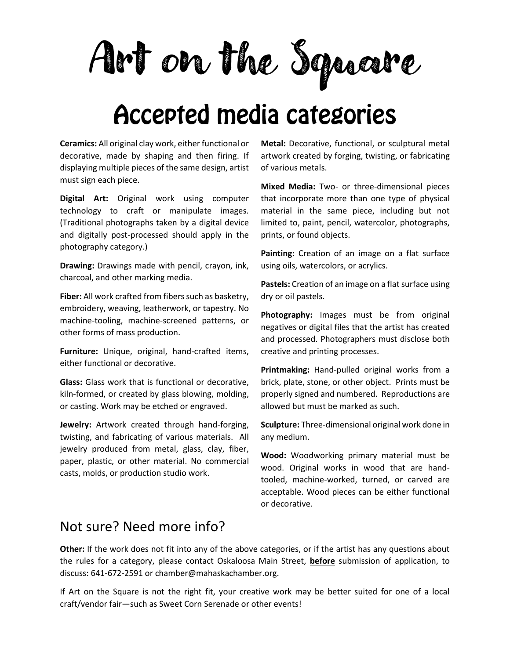Art on the Square

## **Accepted media categories**

**Ceramics:** All original clay work, either functional or decorative, made by shaping and then firing. If displaying multiple pieces of the same design, artist must sign each piece.

**Digital Art:** Original work using computer technology to craft or manipulate images. (Traditional photographs taken by a digital device and digitally post-processed should apply in the photography category.)

**Drawing:** Drawings made with pencil, crayon, ink, charcoal, and other marking media.

**Fiber:** All work crafted from fibers such as basketry, embroidery, weaving, leatherwork, or tapestry. No machine-tooling, machine-screened patterns, or other forms of mass production.

**Furniture:** Unique, original, hand-crafted items, either functional or decorative.

**Glass:** Glass work that is functional or decorative, kiln-formed, or created by glass blowing, molding, or casting. Work may be etched or engraved.

**Jewelry:** Artwork created through hand-forging, twisting, and fabricating of various materials. All jewelry produced from metal, glass, clay, fiber, paper, plastic, or other material. No commercial casts, molds, or production studio work.

**Metal:** Decorative, functional, or sculptural metal artwork created by forging, twisting, or fabricating of various metals.

**Mixed Media:** Two- or three-dimensional pieces that incorporate more than one type of physical material in the same piece, including but not limited to, paint, pencil, watercolor, photographs, prints, or found objects.

**Painting:** Creation of an image on a flat surface using oils, watercolors, or acrylics.

**Pastels:** Creation of an image on a flat surface using dry or oil pastels.

**Photography:** Images must be from original negatives or digital files that the artist has created and processed. Photographers must disclose both creative and printing processes.

**Printmaking:** Hand-pulled original works from a brick, plate, stone, or other object. Prints must be properly signed and numbered. Reproductions are allowed but must be marked as such.

**Sculpture:** Three-dimensional original work done in any medium.

**Wood:** Woodworking primary material must be wood. Original works in wood that are handtooled, machine-worked, turned, or carved are acceptable. Wood pieces can be either functional or decorative.

#### Not sure? Need more info?

**Other:** If the work does not fit into any of the above categories, or if the artist has any questions about the rules for a category, please contact Oskaloosa Main Street, **before** submission of application, to discuss: 641-672-2591 or chamber@mahaskachamber.org.

If Art on the Square is not the right fit, your creative work may be better suited for one of a local craft/vendor fair—such as Sweet Corn Serenade or other events!